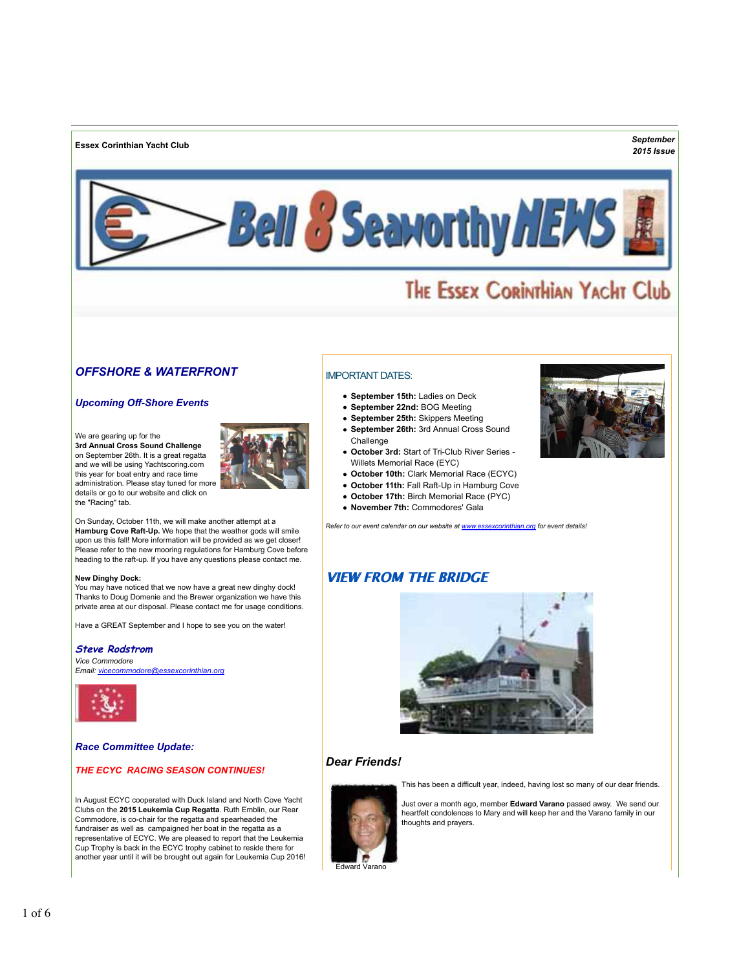**Essex Corinthian Yacht Club** *September*

# *2015 Issue*



# THE ESSEX CORINTHIAN YACHT Club

# *OFFSHORE & WATERFRONT*

# *Upcoming Off-Shore Events*

We are gearing up for the **3rd Annual Cross Sound Challenge** on September 26th. It is a great regatta and we will be using Yachtscoring.com this year for boat entry and race time administration. Please stay tuned for more details or go to our website and click on the "Racing" tab.



On Sunday, October 11th, we will make another attempt at a **Hamburg Cove Raft-Up.** We hope that the weather gods will smile upon us this fall! More information will be provided as we get closer! Please refer to the new mooring regulations for Hamburg Cove before heading to the raft-up. If you have any questions please contact me.

#### **New Dinghy Dock:**

You may have noticed that we now have a great new dinghy dock! Thanks to Doug Domenie and the Brewer organization we have this private area at our disposal. Please contact me for usage conditions.

Have a GREAT September and I hope to see you on the water!

### **Steve Rodstrom**

*Vice Commodore [Email: vicecommodore@essexcorinthian.org](mailto:vicecommodore@essexcorinthian.org)*



*Race Committee Update:*

# *THE ECYC RACING SEASON CONTINUES!*

In August ECYC cooperated with Duck Island and North Cove Yacht Clubs on the **2015 Leukemia Cup Regatta**. Ruth Emblin, our Rear Commodore, is co-chair for the regatta and spearheaded the fundraiser as well as campaigned her boat in the regatta as a representative of ECYC. We are pleased to report that the Leukemia Cup Trophy is back in the ECYC trophy cabinet to reside there for another year until it will be brought out again for Leukemia Cup 2016!

# IMPORTANT DATES:

- **September 15th:** Ladies on Deck
- **September 22nd:** BOG Meeting
- **September 25th:** Skippers Meeting
- **September 26th:** 3rd Annual Cross Sound Challenge
- **October 3rd:** Start of Tri-Club River Series Willets Memorial Race (EYC)
- **October 10th:** Clark Memorial Race (ECYC)
- **October 11th:** Fall Raft-Up in Hamburg Cove
- **October 17th:** Birch Memorial Race (PYC)
- **November 7th:** Commodores' Gala

*Refer to our event calendar on our website at [www.essexcorinthian.org f](http://www.essexcorinthian.org)or event details!*

# **VIEW FROM THE BRIDGE**



# *Dear Friends!*

This has been a difficult year, indeed, having lost so many of our dear friends.



Just over a month ago, member **Edward Varano** passed away. We send our heartfelt condolences to Mary and will keep her and the Varano family in our thoughts and prayers.

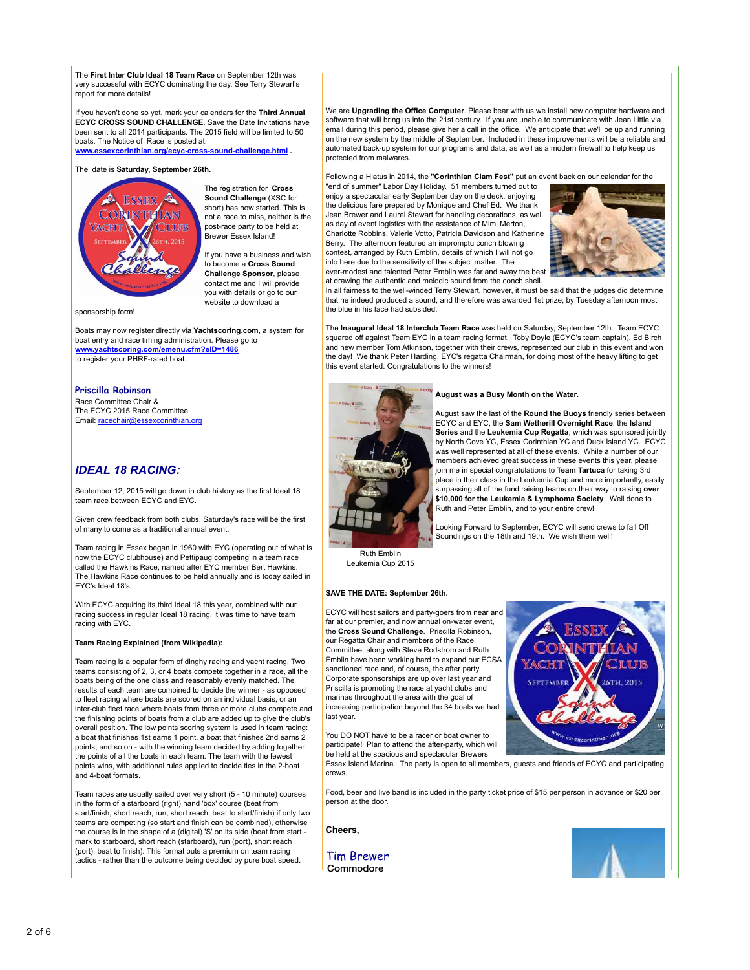The **First Inter Club Ideal 18 Team Race** on September 12th was very successful with ECYC dominating the day. See Terry Stewart's report for more details!

If you haven't done so yet, mark your calendars for the **Third Annual ECYC CROSS SOUND CHALLENGE.** Save the Date Invitations have been sent to all 2014 participants. The 2015 field will be limited to 50 boats. The Notice of Race is posted at:

**[www.essexcorinthian.org/ecyc-cross-sound-challenge.html](http://www.essexcorinthian.org/ecyc-cross-sound-challenge.html) .**

### The date is **Saturday, September 26th.**



The registration for **Cross Sound Challenge** (XSC for short) has now started. This is not a race to miss, neither is the post-race party to be held at Brewer Essex Island!

If you have a business and wish to become a **Cross Sound Challenge Sponsor**, please contact me and I will provide you with details or go to our website to download a

sponsorship form!

Boats may now register directly via **Yachtscoring.com**, a system for boat entry and race timing administration. Please go to **[www.yachtscoring.com/emenu.cfm?eID=1486](http://www.yachtscoring.com/emenu.cfm?eID=1486)** to register your PHRF-rated boat.

## **Priscilla Robinson**

Race Committee Chair & The ECYC 2015 Race Committee [Email: racechair@essexcorinthian.org](mailto:racechair@essexcorinthian.org)

# *IDEAL 18 RACING:*

September 12, 2015 will go down in club history as the first Ideal 18 team race between ECYC and EYC.

Given crew feedback from both clubs, Saturday's race will be the first of many to come as a traditional annual event.

Team racing in Essex began in 1960 with EYC (operating out of what is now the ECYC clubhouse) and Pettipaug competing in a team race called the Hawkins Race, named after EYC member Bert Hawkins. The Hawkins Race continues to be held annually and is today sailed in EYC's Ideal 18's.

With ECYC acquiring its third Ideal 18 this year, combined with our racing success in regular Ideal 18 racing, it was time to have team racing with EYC.

#### **Team Racing Explained (from Wikipedia):**

Team racing is a popular form of dinghy racing and yacht racing. Two teams consisting of 2, 3, or 4 boats compete together in a race, all the boats being of the one class and reasonably evenly matched. The results of each team are combined to decide the winner - as opposed to fleet racing where boats are scored on an individual basis, or an inter-club fleet race where boats from three or more clubs compete and the finishing points of boats from a club are added up to give the club's overall position. The low points scoring system is used in team racing: a boat that finishes 1st earns 1 point, a boat that finishes 2nd earns 2 points, and so on - with the winning team decided by adding together the points of all the boats in each team. The team with the fewest points wins, with additional rules applied to decide ties in the 2-boat and 4-boat formats.

Team races are usually sailed over very short (5 - 10 minute) courses in the form of a starboard (right) hand 'box' course (beat from start/finish, short reach, run, short reach, beat to start/finish) if only two teams are competing (so start and finish can be combined), otherwise the course is in the shape of a (digital) 'S' on its side (beat from start mark to starboard, short reach (starboard), run (port), short reach (port), beat to finish). This format puts a premium on team racing tactics - rather than the outcome being decided by pure boat speed.

We are **Upgrading the Office Computer**. Please bear with us we install new computer hardware and software that will bring us into the 21st century. If you are unable to communicate with Jean Little via email during this period, please give her a call in the office. We anticipate that we'll be up and running on the new system by the middle of September. Included in these improvements will be a reliable and automated back-up system for our programs and data, as well as a modern firewall to help keep us protected from malwares.

Following a Hiatus in 2014, the **"Corinthian Clam Fest"** put an event back on our calendar for the

"end of summer" Labor Day Holiday. 51 members turned out to enjoy a spectacular early September day on the deck, enjoying the delicious fare prepared by Monique and Chef Ed. We thank Jean Brewer and Laurel Stewart for handling decorations, as well as day of event logistics with the assistance of Mimi Merton. Charlotte Robbins, Valerie Votto, Patricia Davidson and Katherine Berry. The afternoon featured an impromptu conch blowing contest, arranged by Ruth Emblin, details of which I will not go into here due to the sensitivity of the subject matter. The

ever-modest and talented Peter Emblin was far and away the best at drawing the authentic and melodic sound from the conch shell.



In all fairness to the well-winded Terry Stewart, however, it must be said that the judges did determine that he indeed produced a sound, and therefore was awarded 1st prize; by Tuesday afternoon most the blue in his face had subsided.

The **Inaugural Ideal 18 Interclub Team Race** was held on Saturday, September 12th. Team ECYC squared off against Team EYC in a team racing format. Toby Doyle (ECYC's team captain), Ed Birch and new member Tom Atkinson, together with their crews, represented our club in this event and won the day! We thank Peter Harding, EYC's regatta Chairman, for doing most of the heavy lifting to get this event started. Congratulations to the winners!



#### August was a Busy Month on the Water.

August saw the last of the **Round the Buoys** friendly series between ECYC and EYC, the **Sam Wetherill Overnight Race**, the **Island Series** and the **Leukemia Cup Regatta**, which was sponsored jointly by North Cove YC, Essex Corinthian YC and Duck Island YC. ECYC was well represented at all of these events. While a number of our members achieved great success in these events this year, please join me in special congratulations to **Team Tartuca** for taking 3rd place in their class in the Leukemia Cup and more importantly, easily surpassing all of the fund raising teams on their way to raising **over \$10,000 for the Leukemia & Lymphoma Society**. Well done to Ruth and Peter Emblin, and to your entire crew!

Looking Forward to September, ECYC will send crews to fall Off Soundings on the 18th and 19th. We wish them well!

Ruth Emblin Leukemia Cup 2015

#### **SAVE THE DATE: September 26th.**

ECYC will host sailors and party-goers from near and far at our premier, and now annual on-water event, the **Cross Sound Challenge**. Priscilla Robinson, our Regatta Chair and members of the Race Committee, along with Steve Rodstrom and Ruth Emblin have been working hard to expand our ECSA sanctioned race and, of course, the after party. Corporate sponsorships are up over last year and Priscilla is promoting the race at yacht clubs and marinas throughout the area with the goal of increasing participation beyond the 34 boats we had last year.

You DO NOT have to be a racer or boat owner to participate! Plan to attend the after-party, which will be held at the spacious and spectacular Brewers



Essex Island Marina. The party is open to all members, guests and friends of ECYC and participating crews.

Food, beer and live band is included in the party ticket price of \$15 per person in advance or \$20 per person at the door.

**Cheers,**

Tim Brewer Commodore

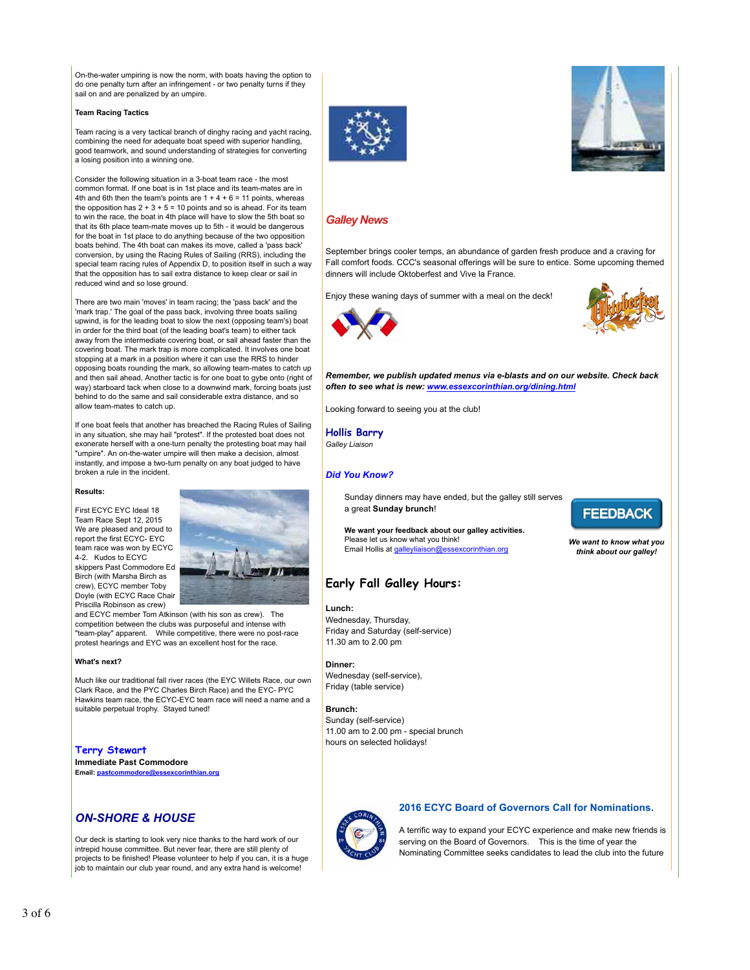On-the-water umpiring is now the norm, with boats having the option to do one penalty turn after an infringement - or two penalty turns if they sail on and are penalized by an umpire.

#### **Team Racing Tactics**

Team racing is a very tactical branch of dinghy racing and yacht racing, combining the need for adequate boat speed with superior handling, good teamwork, and sound understanding of strategies for converting a losing position into a winning one.

Consider the following situation in a 3-boat team race - the most common format. If one boat is in 1st place and its team-mates are in 4th and 6th then the team's points are  $1 + 4 + 6 = 11$  points, whereas the opposition has  $2 + 3 + 5 = 10$  points and so is ahead. For its team to win the race, the boat in 4th place will have to slow the 5th boat so that its 6th place team-mate moves up to 5th - it would be dangerous for the boat in 1st place to do anything because of the two opposition boats behind. The 4th boat can makes its move, called a 'pass back' conversion, by using the Racing Rules of Sailing (RRS), including the special team racing rules of Appendix D, to position itself in such a way that the opposition has to sail extra distance to keep clear or sail in reduced wind and so lose ground.

There are two main 'moves' in team racing; the 'pass back' and the 'mark trap.' The goal of the pass back, involving three boats sailing upwind, is for the leading boat to slow the next (opposing team's) boat in order for the third boat (of the leading boat's team) to either tack away from the intermediate covering boat, or sail ahead faster than the covering boat. The mark trap is more complicated. It involves one boat stopping at a mark in a position where it can use the RRS to hinder opposing boats rounding the mark, so allowing team-mates to catch up and then sail ahead. Another tactic is for one boat to gybe onto (right of way) starboard tack when close to a downwind mark, forcing boats just behind to do the same and sail considerable extra distance, and so allow team-mates to catch up.

If one boat feels that another has breached the Racing Rules of Sailing in any situation, she may hail "protest". If the protested boat does not exonerate herself with a one-turn penalty the protesting boat may hail "umpire". An on-the-water umpire will then make a decision, almost instantly, and impose a two-turn penalty on any boat judged to have broken a rule in the incident.

#### **Results:**

First ECYC EYC Ideal 18 Team Race Sept 12, 2015 We are pleased and proud to report the first ECYC- EYC team race was won by ECYC 4-2. Kudos to ECYC skippers Past Commodore Ed Birch (with Marsha Birch as crew), ECYC member Toby Doyle (with ECYC Race Chair Priscilla Robinson as crew)



and ECYC member Tom Atkinson (with his son as crew). The competition between the clubs was purposeful and intense with "team-play" apparent. While competitive, there were no post-race protest hearings and EYC was an excellent host for the race.

#### **What's next?**

Much like our traditional fall river races (the EYC Willets Race, our own Clark Race, and the PYC Charles Birch Race) and the EYC- PYC Hawkins team race, the ECYC-EYC team race will need a name and a suitable perpetual trophy. Stayed tuned!

**Terry Stewart Immediate Past Commodore Email: pastcommodore@essexcorinthian.** 

# *ON-SHORE & HOUSE*

Our deck is starting to look very nice thanks to the hard work of our intrepid house committee. But never fear, there are still plenty of projects to be finished! Please volunteer to help if you can, it is a huge job to maintain our club year round, and any extra hand is welcome!





# *Galley News*

September brings cooler temps, an abundance of garden fresh produce and a craving for Fall comfort foods. CCC's seasonal offerings will be sure to entice. Some upcoming themed dinners will include Oktoberfest and Vive la France.

Enjoy these waning days of summer with a meal on the deck!





*Remember, we publish updated menus via e-blasts and on our website. Check back often to see what is new: [www.essexcorinthian.org/dining.html](http://www.essexcorinthian.org/dining.html)*

Looking forward to seeing you at the club!

**Hollis Barry**

*Galley Liaison*

## *Did You Know?*

Sunday dinners may have ended, but the galley still serves a great **Sunday brunch**!

**We want your feedback about our galley activities.** Please let us know what you think! [Email Hollis at galleyliaison@essexcorinthian.org](mailto:galleyliaison@essexcorinthian.org)

# **Early Fall Galley Hours:**

**Lunch:**  Wednesday, Thursday, Friday and Saturday (self-service) 11.30 am to 2.00 pm

**Dinner:**  Wednesday (self-service), Friday (table service)

**Brunch:** Sunday (self-service) 11.00 am to 2.00 pm - special brunch hours on selected holidays!

# **FEEDBACK**

*We want to know what you think about our galley!*

# **2016 ECYC Board of Governors Call for Nominations.**

A terrific way to expand your ECYC experience and make new friends is serving on the Board of Governors. This is the time of year the Nominating Committee seeks candidates to lead the club into the future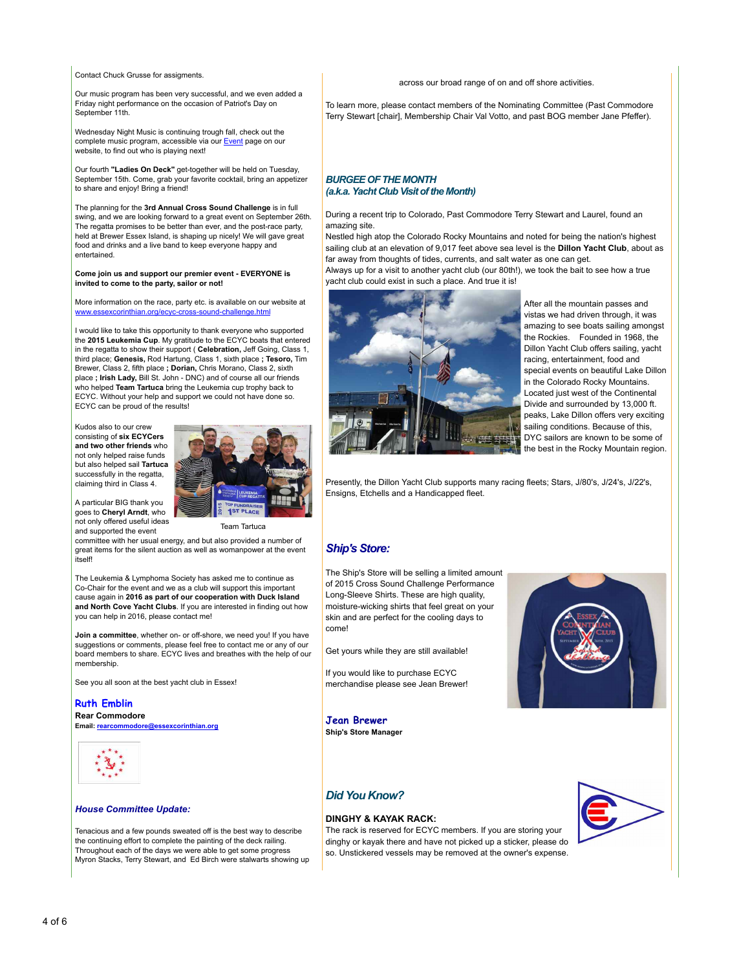Contact Chuck Grusse for assigments.

Our music program has been very successful, and we even added a Friday night performance on the occasion of Patriot's Day on September 11th.

Wednesday Night Music is continuing trough fall, check out the complete music program, accessible via ou[r Event](http://www.essexcorinthian.org/events.html) page on our website, to find out who is playing next!

Our fourth **"Ladies On Deck"** get-together will be held on Tuesday, September 15th. Come, grab your favorite cocktail, bring an appetizer to share and enjoy! Bring a friend!

The planning for the **3rd Annual Cross Sound Challenge** is in full swing, and we are looking forward to a great event on September 26th. The regatta promises to be better than ever, and the post-race party, held at Brewer Essex Island, is shaping up nicely! We will gave great food and drinks and a live band to keep everyone happy and entertained.

**Come join us and support our premier event - EVERYONE is invited to come to the party, sailor or not!**

More information on the race, party etc. is available on our website at www.essexcorinthian.org/ecyc-cross-sound-challenge.htm

I would like to take this opportunity to thank everyone who supported the **2015 Leukemia Cup**. My gratitude to the ECYC boats that entered in the regatta to show their support ( **Celebration,** Jeff Going, Class 1, third place; **Genesis,** Rod Hartung, Class 1, sixth place **; Tesoro,** Tim Brewer, Class 2, fifth place **; Dorian,** Chris Morano, Class 2, sixth place **; Irish Lady,** Bill St. John - DNC) and of course all our friends who helped **Team Tartuca** bring the Leukemia cup trophy back to ECYC. Without your help and support we could not have done so. ECYC can be proud of the results!

Kudos also to our crew consisting of **six ECYCers and two other friends** who not only helped raise funds but also helped sail **Tartuca** successfully in the regatta, claiming third in Class 4.



Team Tartuca

A particular BIG thank you goes to **Cheryl Arndt**, who not only offered useful ideas and supported the event

committee with her usual energy, and but also provided a number of great items for the silent auction as well as womanpower at the event itself!

The Leukemia & Lymphoma Society has asked me to continue as Co-Chair for the event and we as a club will support this important cause again in **2016 as part of our cooperation with Duck Island and North Cove Yacht Clubs**. If you are interested in finding out how you can help in 2016, please contact me!

**Join a committee**, whether on- or off-shore, we need you! If you have suggestions or comments, please feel free to contact me or any of our board members to share. ECYC lives and breathes with the help of our membership.

See you all soon at the best yacht club in Essex!

## **Ruth Emblin**

**Rear Commodore [Email: rearcommodore@essexcorinthian.org](mailto:rearcommodore@essexcorinthian.org)**



#### *House Committee Update:*

Tenacious and a few pounds sweated off is the best way to describe the continuing effort to complete the painting of the deck railing. Throughout each of the days we were able to get some progress Myron Stacks, Terry Stewart, and Ed Birch were stalwarts showing up across our broad range of on and off shore activities.

To learn more, please contact members of the Nominating Committee (Past Commodore Terry Stewart [chair], Membership Chair Val Votto, and past BOG member Jane Pfeffer).

## *BURGEE OF THE MONTH (a.k.a. Yacht Club Visit of the Month)*

During a recent trip to Colorado, Past Commodore Terry Stewart and Laurel, found an amazing site.

Nestled high atop the Colorado Rocky Mountains and noted for being the nation's highest sailing club at an elevation of 9,017 feet above sea level is the **Dillon Yacht Club**, about as far away from thoughts of tides, currents, and salt water as one can get. Always up for a visit to another yacht club (our 80th!), we took the bait to see how a true

yacht club could exist in such a place. And true it is!



After all the mountain passes and vistas we had driven through, it was amazing to see boats sailing amongst the Rockies. Founded in 1968, the Dillon Yacht Club offers sailing, yacht racing, entertainment, food and special events on beautiful Lake Dillon in the Colorado Rocky Mountains. Located just west of the Continental Divide and surrounded by 13,000 ft. peaks, Lake Dillon offers very exciting sailing conditions. Because of this, DYC sailors are known to be some of the best in the Rocky Mountain region.

Presently, the Dillon Yacht Club supports many racing fleets; Stars, J/80's, J/24's, J/22's, Ensigns, Etchells and a Handicapped fleet.

# *Ship's Store:*

The Ship's Store will be selling a limited amount of 2015 Cross Sound Challenge Performance Long-Sleeve Shirts. These are high quality, moisture-wicking shirts that feel great on your skin and are perfect for the cooling days to come!

Get yours while they are still available!

If you would like to purchase ECYC merchandise please see Jean Brewer!

**Jean Brewer Ship's Store Manager**



# *Did You Know?*

### **DINGHY & KAYAK RACK:**

The rack is reserved for ECYC members. If you are storing your dinghy or kayak there and have not picked up a sticker, please do so. Unstickered vessels may be removed at the owner's expense.

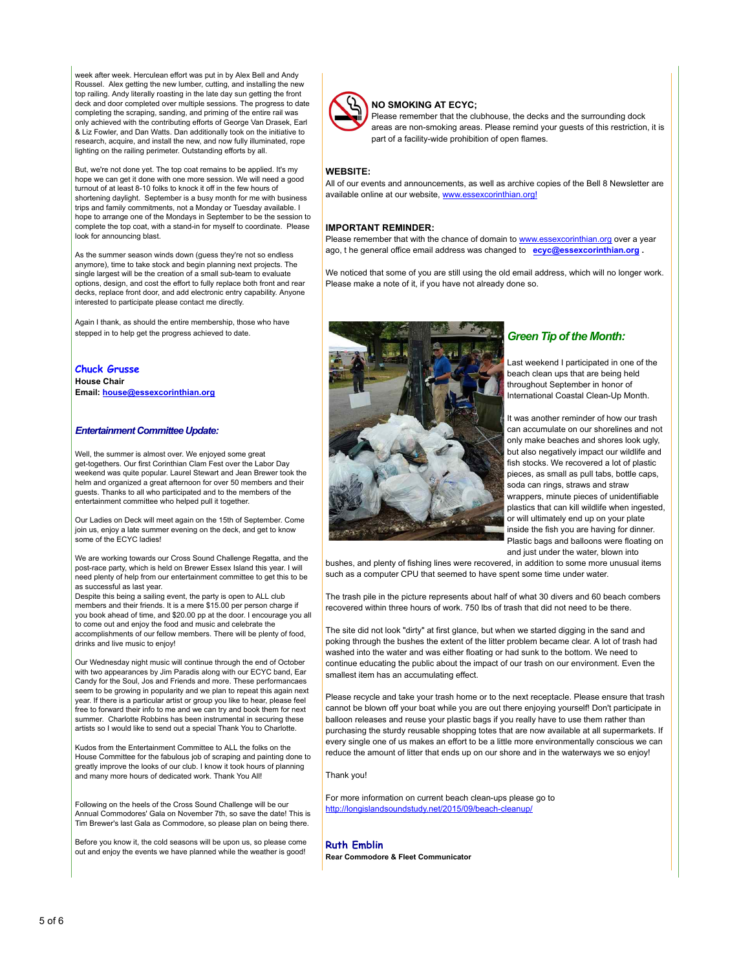week after week. Herculean effort was put in by Alex Bell and Andy Roussel. Alex getting the new lumber, cutting, and installing the new top railing. Andy literally roasting in the late day sun getting the front deck and door completed over multiple sessions. The progress to date completing the scraping, sanding, and priming of the entire rail was only achieved with the contributing efforts of George Van Drasek, Earl & Liz Fowler, and Dan Watts. Dan additionally took on the initiative to research, acquire, and install the new, and now fully illuminated, rope lighting on the railing perimeter. Outstanding efforts by all.

But, we're not done yet. The top coat remains to be applied. It's my hope we can get it done with one more session. We will need a good turnout of at least 8-10 folks to knock it off in the few hours of shortening daylight. September is a busy month for me with business trips and family commitments, not a Monday or Tuesday available. I hope to arrange one of the Mondays in September to be the session to complete the top coat, with a stand-in for myself to coordinate. Please look for announcing blast.

As the summer season winds down (guess they're not so endless anymore), time to take stock and begin planning next projects. The single largest will be the creation of a small sub-team to evaluate options, design, and cost the effort to fully replace both front and rear decks, replace front door, and add electronic entry capability. Anyone interested to participate please contact me directly.

Again I thank, as should the entire membership, those who have stepped in to help get the progress achieved to date.

**Chuck Grusse House Chair Email: [house@essexcorinthian.org](mailto:house@essexcorinthian.org)**

## *Entertainment Committee Update:*

Well, the summer is almost over. We enjoyed some great get-togethers. Our first Corinthian Clam Fest over the Labor Day weekend was quite popular. Laurel Stewart and Jean Brewer took the helm and organized a great afternoon for over 50 members and their guests. Thanks to all who participated and to the members of the entertainment committee who helped pull it together.

Our Ladies on Deck will meet again on the 15th of September. Come join us, enjoy a late summer evening on the deck, and get to know some of the ECYC ladies!

We are working towards our Cross Sound Challenge Regatta, and the post-race party, which is held on Brewer Essex Island this year. I will need plenty of help from our entertainment committee to get this to be as successful as last year.

Despite this being a sailing event, the party is open to ALL club members and their friends. It is a mere \$15.00 per person charge if you book ahead of time, and \$20.00 pp at the door. I encourage you all to come out and enjoy the food and music and celebrate the accomplishments of our fellow members. There will be plenty of food, drinks and live music to enjoy!

Our Wednesday night music will continue through the end of October with two appearances by Jim Paradis along with our ECYC band, Ear Candy for the Soul, Jos and Friends and more. These performancaes seem to be growing in popularity and we plan to repeat this again next year. If there is a particular artist or group you like to hear, please feel free to forward their info to me and we can try and book them for next summer. Charlotte Robbins has been instrumental in securing these artists so I would like to send out a special Thank You to Charlotte.

Kudos from the Entertainment Committee to ALL the folks on the House Committee for the fabulous job of scraping and painting done to greatly improve the looks of our club. I know it took hours of planning and many more hours of dedicated work. Thank You All!

Following on the heels of the Cross Sound Challenge will be our Annual Commodores' Gala on November 7th, so save the date! This is Tim Brewer's last Gala as Commodore, so please plan on being there.

Before you know it, the cold seasons will be upon us, so please come out and enjoy the events we have planned while the weather is good!



#### **NO SMOKING AT ECYC;**

Please remember that the clubhouse, the decks and the surrounding dock areas are non-smoking areas. Please remind your guests of this restriction, it is part of a facility-wide prohibition of open flames.

## **WEBSITE:**

All of our events and announcements, as well as archive copies of the Bell 8 Newsletter are available online at our website, [www.essexcorinthian.org!](http://www.essexcorinthian.org)

#### **IMPORTANT REMINDER:**

Please remember that with the chance of domain to **www.essexcorinthian.org** over a year ago, t he general office email address was changed to **[ecyc@essexcorinthian.org](mailto:ecyc@essexcorinthian.org) .** 

We noticed that some of you are still using the old email address, which will no longer work. Please make a note of it, if you have not already done so.



# *Green Tip of the Month:*

Last weekend I participated in one of the beach clean ups that are being held throughout September in honor of International Coastal Clean-Up Month.

It was another reminder of how our trash can accumulate on our shorelines and not only make beaches and shores look ugly, but also negatively impact our wildlife and fish stocks. We recovered a lot of plastic pieces, as small as pull tabs, bottle caps, soda can rings, straws and straw wrappers, minute pieces of unidentifiable plastics that can kill wildlife when ingested, or will ultimately end up on your plate inside the fish you are having for dinner. Plastic bags and balloons were floating on and just under the water, blown into

bushes, and plenty of fishing lines were recovered, in addition to some more unusual items such as a computer CPU that seemed to have spent some time under water.

The trash pile in the picture represents about half of what 30 divers and 60 beach combers recovered within three hours of work. 750 lbs of trash that did not need to be there.

The site did not look "dirty" at first glance, but when we started digging in the sand and poking through the bushes the extent of the litter problem became clear. A lot of trash had washed into the water and was either floating or had sunk to the bottom. We need to continue educating the public about the impact of our trash on our environment. Even the smallest item has an accumulating effect.

Please recycle and take your trash home or to the next receptacle. Please ensure that trash cannot be blown off your boat while you are out there enjoying yourself! Don't participate in balloon releases and reuse your plastic bags if you really have to use them rather than purchasing the sturdy reusable shopping totes that are now available at all supermarkets. If every single one of us makes an effort to be a little more environmentally conscious we can reduce the amount of litter that ends up on our shore and in the waterways we so enjoy!

#### Thank you!

For more information on current beach clean-ups please go to <http://longislandsoundstudy.net/2015/09/beach-cleanup/>

# **Ruth Emblin**

**Rear Commodore & Fleet Communicator**